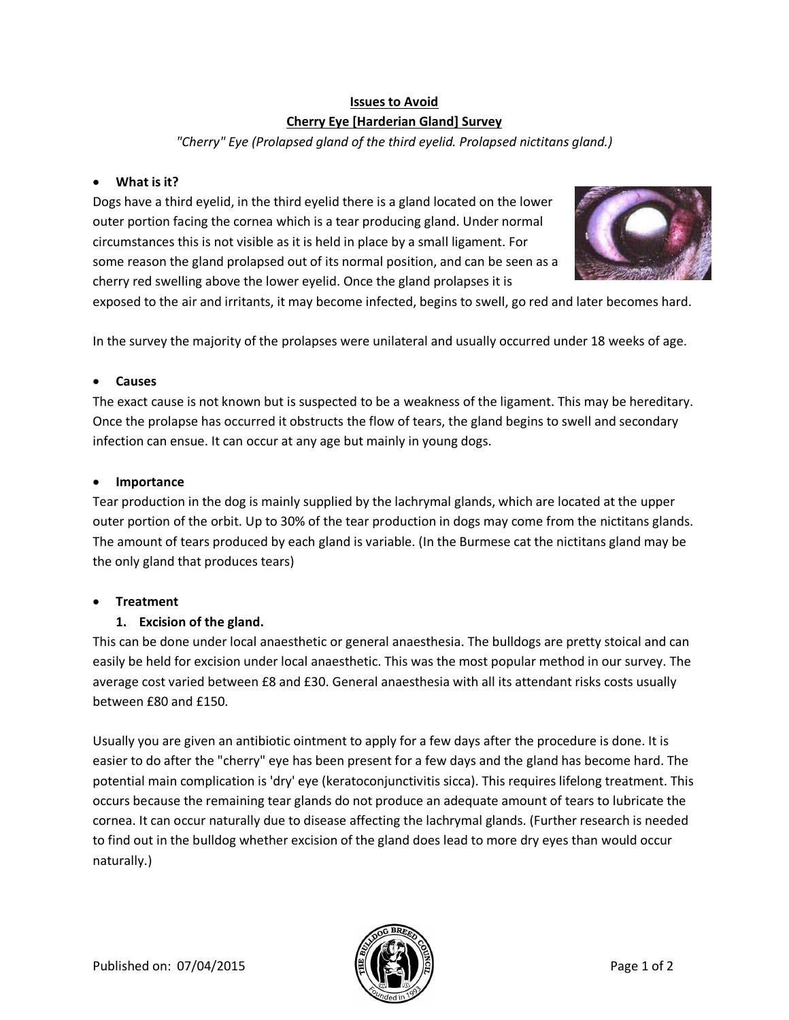# **Issues to Avoid Cherry Eye [Harderian Gland] Survey**

*"Cherry" Eye (Prolapsed gland of the third eyelid. Prolapsed nictitans gland.)*

## · **What is it?**

Dogs have a third eyelid, in the third eyelid there is a gland located on the lower outer portion facing the cornea which is a tear producing gland. Under normal circumstances this is not visible as it is held in place by a small ligament. For some reason the gland prolapsed out of its normal position, and can be seen as a cherry red swelling above the lower eyelid. Once the gland prolapses it is



exposed to the air and irritants, it may become infected, begins to swell, go red and later becomes hard.

In the survey the majority of the prolapses were unilateral and usually occurred under 18 weeks of age.

## · **Causes**

The exact cause is not known but is suspected to be a weakness of the ligament. This may be hereditary. Once the prolapse has occurred it obstructs the flow of tears, the gland begins to swell and secondary infection can ensue. It can occur at any age but mainly in young dogs.

#### · **Importance**

Tear production in the dog is mainly supplied by the lachrymal glands, which are located at the upper outer portion of the orbit. Up to 30% of the tear production in dogs may come from the nictitans glands. The amount of tears produced by each gland is variable. (In the Burmese cat the nictitans gland may be the only gland that produces tears)

## · **Treatment**

## **1. Excision of the gland.**

This can be done under local anaesthetic or general anaesthesia. The bulldogs are pretty stoical and can easily be held for excision under local anaesthetic. This was the most popular method in our survey. The average cost varied between £8 and £30. General anaesthesia with all its attendant risks costs usually between £80 and £150.

Usually you are given an antibiotic ointment to apply for a few days after the procedure is done. It is easier to do after the "cherry" eye has been present for a few days and the gland has become hard. The potential main complication is 'dry' eye (keratoconjunctivitis sicca). This requires lifelong treatment. This occurs because the remaining tear glands do not produce an adequate amount of tears to lubricate the cornea. It can occur naturally due to disease affecting the lachrymal glands. (Further research is needed to find out in the bulldog whether excision of the gland does lead to more dry eyes than would occur naturally.)